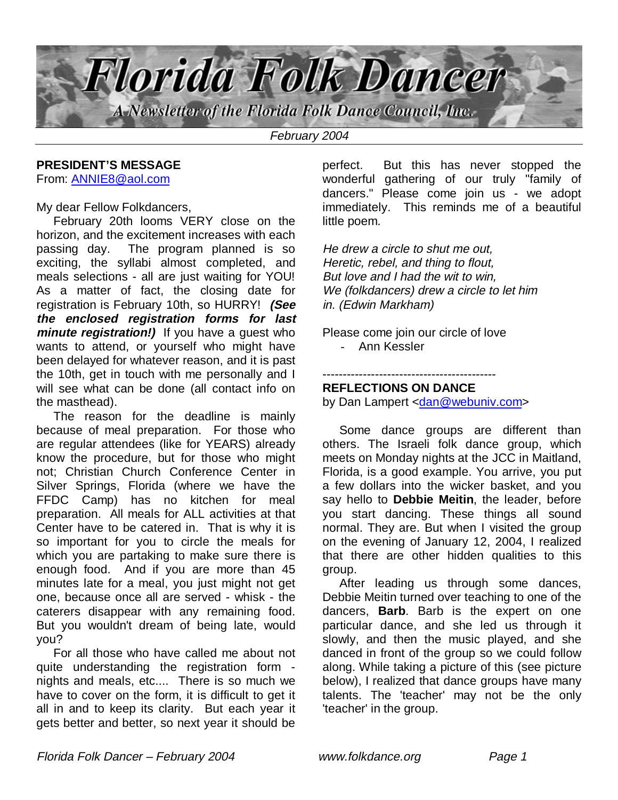

### **PRESIDENT'S MESSAGE**

From: ANNIE8@aol.com

My dear Fellow Folkdancers,

 February 20th looms VERY close on the horizon, and the excitement increases with each passing day. The program planned is so exciting, the syllabi almost completed, and meals selections - all are just waiting for YOU! As a matter of fact, the closing date for registration is February 10th, so HURRY! **(See the enclosed registration forms for last minute registration!)** If you have a guest who wants to attend, or yourself who might have been delayed for whatever reason, and it is past the 10th, get in touch with me personally and I will see what can be done (all contact info on the masthead).

 The reason for the deadline is mainly because of meal preparation. For those who are regular attendees (like for YEARS) already know the procedure, but for those who might not; Christian Church Conference Center in Silver Springs, Florida (where we have the FFDC Camp) has no kitchen for meal preparation. All meals for ALL activities at that Center have to be catered in. That is why it is so important for you to circle the meals for which you are partaking to make sure there is enough food. And if you are more than 45 minutes late for a meal, you just might not get one, because once all are served - whisk - the caterers disappear with any remaining food. But you wouldn't dream of being late, would you?

 For all those who have called me about not quite understanding the registration form nights and meals, etc.... There is so much we have to cover on the form, it is difficult to get it all in and to keep its clarity. But each year it gets better and better, so next year it should be

perfect. But this has never stopped the wonderful gathering of our truly "family of dancers." Please come join us - we adopt immediately. This reminds me of a beautiful little poem.

He drew a circle to shut me out, Heretic, rebel, and thing to flout, But love and I had the wit to win, We (folkdancers) drew a circle to let him in. (Edwin Markham)

Please come join our circle of love - Ann Kessler

#### ------------------------------------------- **REFLECTIONS ON DANCE**

by Dan Lampert <dan@webuniv.com>

 Some dance groups are different than others. The Israeli folk dance group, which meets on Monday nights at the JCC in Maitland, Florida, is a good example. You arrive, you put a few dollars into the wicker basket, and you say hello to **Debbie Meitin**, the leader, before you start dancing. These things all sound normal. They are. But when I visited the group on the evening of January 12, 2004, I realized that there are other hidden qualities to this group.

 After leading us through some dances, Debbie Meitin turned over teaching to one of the dancers, **Barb**. Barb is the expert on one particular dance, and she led us through it slowly, and then the music played, and she danced in front of the group so we could follow along. While taking a picture of this (see picture below), I realized that dance groups have many talents. The 'teacher' may not be the only 'teacher' in the group.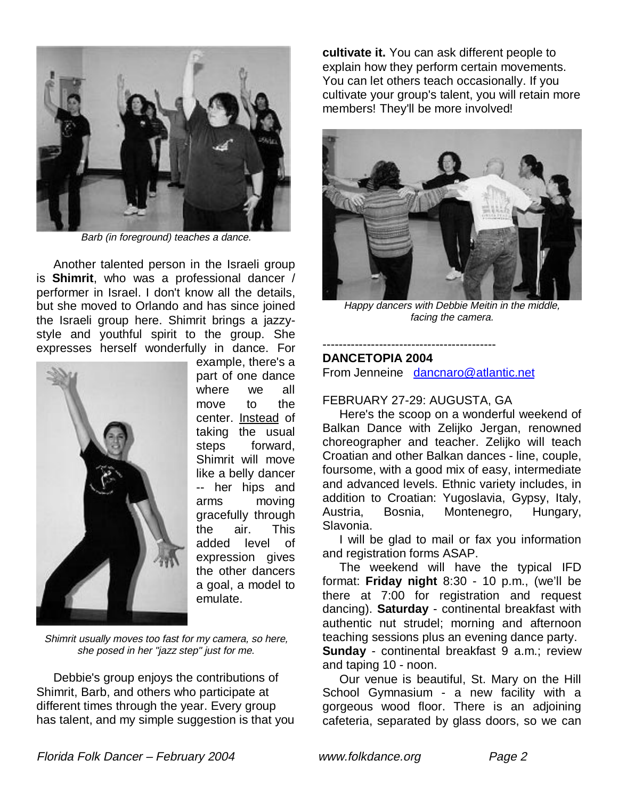

Barb (in foreground) teaches a dance.

 Another talented person in the Israeli group is **Shimrit**, who was a professional dancer / performer in Israel. I don't know all the details, but she moved to Orlando and has since joined the Israeli group here. Shimrit brings a jazzystyle and youthful spirit to the group. She expresses herself wonderfully in dance. For



example, there's a part of one dance where we all move to the center. Instead of taking the usual steps forward, Shimrit will move like a belly dancer -- her hips and arms moving gracefully through the air. This added level of expression gives the other dancers a goal, a model to emulate.

Shimrit usually moves too fast for my camera, so here, she posed in her "jazz step" just for me.

 Debbie's group enjoys the contributions of Shimrit, Barb, and others who participate at different times through the year. Every group has talent, and my simple suggestion is that you **cultivate it.** You can ask different people to explain how they perform certain movements. You can let others teach occasionally. If you cultivate your group's talent, you will retain more members! They'll be more involved!



Happy dancers with Debbie Meitin in the middle, facing the camera.

#### ------------------------------------------- **DANCETOPIA 2004**

From Jenneine dancnaro@atlantic.net

#### FEBRUARY 27-29: AUGUSTA, GA

 Here's the scoop on a wonderful weekend of Balkan Dance with Zelijko Jergan, renowned choreographer and teacher. Zelijko will teach Croatian and other Balkan dances - line, couple, foursome, with a good mix of easy, intermediate and advanced levels. Ethnic variety includes, in addition to Croatian: Yugoslavia, Gypsy, Italy, Austria, Bosnia, Montenegro, Hungary, Slavonia.

 I will be glad to mail or fax you information and registration forms ASAP.

 The weekend will have the typical IFD format: **Friday night** 8:30 - 10 p.m., (we'll be there at 7:00 for registration and request dancing). **Saturday** - continental breakfast with authentic nut strudel; morning and afternoon teaching sessions plus an evening dance party. **Sunday** - continental breakfast 9 a.m.; review and taping 10 - noon.

 Our venue is beautiful, St. Mary on the Hill School Gymnasium - a new facility with a gorgeous wood floor. There is an adjoining cafeteria, separated by glass doors, so we can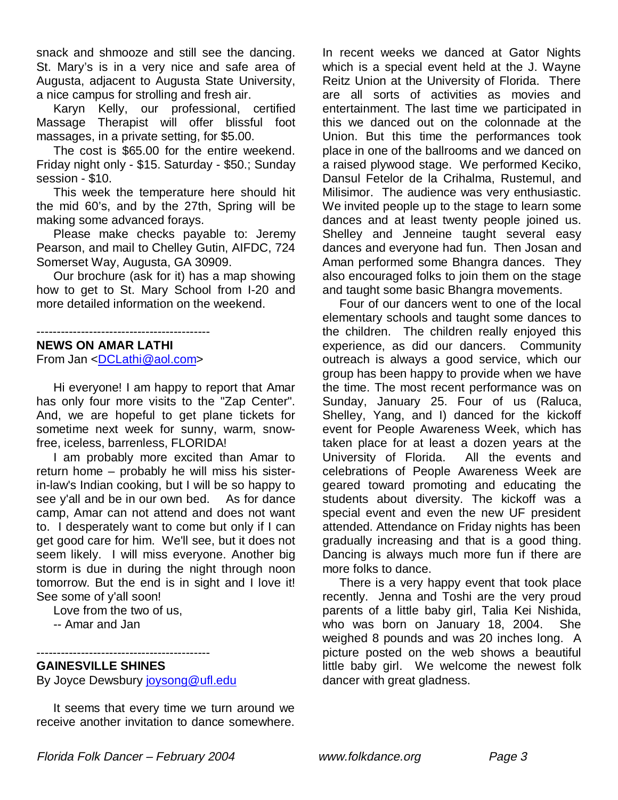snack and shmooze and still see the dancing. St. Mary's is in a very nice and safe area of Augusta, adjacent to Augusta State University, a nice campus for strolling and fresh air.

 Karyn Kelly, our professional, certified Massage Therapist will offer blissful foot massages, in a private setting, for \$5.00.

 The cost is \$65.00 for the entire weekend. Friday night only - \$15. Saturday - \$50.; Sunday session - \$10.

 This week the temperature here should hit the mid 60's, and by the 27th, Spring will be making some advanced forays.

 Please make checks payable to: Jeremy Pearson, and mail to Chelley Gutin, AIFDC, 724 Somerset Way, Augusta, GA 30909.

 Our brochure (ask for it) has a map showing how to get to St. Mary School from I-20 and more detailed information on the weekend.

-------------------------------------------

### **NEWS ON AMAR LATHI**

From Jan <DCLathi@aol.com>

 Hi everyone! I am happy to report that Amar has only four more visits to the "Zap Center". And, we are hopeful to get plane tickets for sometime next week for sunny, warm, snowfree, iceless, barrenless, FLORIDA!

 I am probably more excited than Amar to return home – probably he will miss his sisterin-law's Indian cooking, but I will be so happy to see y'all and be in our own bed. As for dance camp, Amar can not attend and does not want to. I desperately want to come but only if I can get good care for him. We'll see, but it does not seem likely. I will miss everyone. Another big storm is due in during the night through noon tomorrow. But the end is in sight and I love it! See some of y'all soon!

Love from the two of us,

-- Amar and Jan

#### ------------------------------------------- **GAINESVILLE SHINES**

By Joyce Dewsbury joysong@ufl.edu

 It seems that every time we turn around we receive another invitation to dance somewhere.

In recent weeks we danced at Gator Nights which is a special event held at the J. Wayne Reitz Union at the University of Florida. There are all sorts of activities as movies and entertainment. The last time we participated in this we danced out on the colonnade at the Union. But this time the performances took place in one of the ballrooms and we danced on a raised plywood stage. We performed Keciko, Dansul Fetelor de la Crihalma, Rustemul, and Milisimor. The audience was very enthusiastic. We invited people up to the stage to learn some dances and at least twenty people joined us. Shelley and Jenneine taught several easy dances and everyone had fun. Then Josan and Aman performed some Bhangra dances. They also encouraged folks to join them on the stage and taught some basic Bhangra movements.

 Four of our dancers went to one of the local elementary schools and taught some dances to the children. The children really enjoyed this experience, as did our dancers. Community outreach is always a good service, which our group has been happy to provide when we have the time. The most recent performance was on Sunday, January 25. Four of us (Raluca, Shelley, Yang, and I) danced for the kickoff event for People Awareness Week, which has taken place for at least a dozen years at the University of Florida. All the events and celebrations of People Awareness Week are geared toward promoting and educating the students about diversity. The kickoff was a special event and even the new UF president attended. Attendance on Friday nights has been gradually increasing and that is a good thing. Dancing is always much more fun if there are more folks to dance.

 There is a very happy event that took place recently. Jenna and Toshi are the very proud parents of a little baby girl, Talia Kei Nishida, who was born on January 18, 2004. She weighed 8 pounds and was 20 inches long. A picture posted on the web shows a beautiful little baby girl. We welcome the newest folk dancer with great gladness.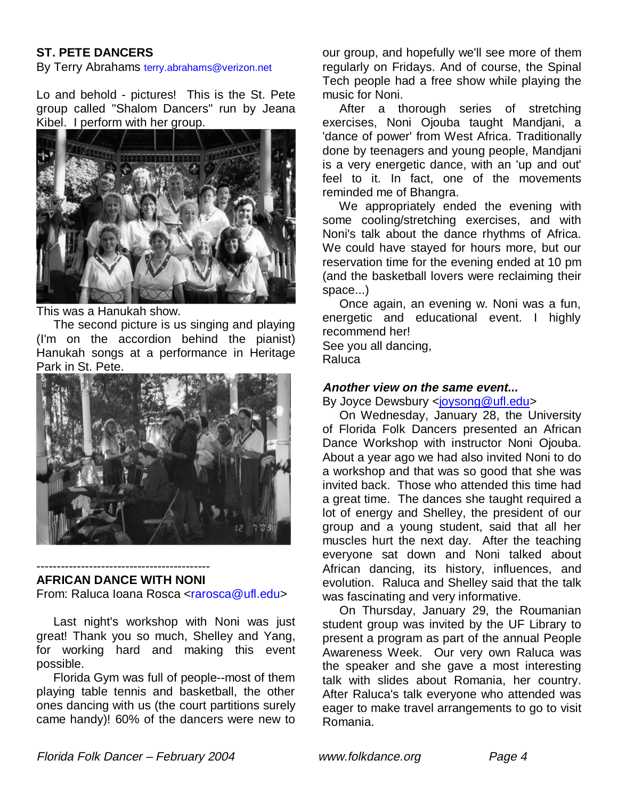## **ST. PETE DANCERS**

By Terry Abrahams terry.abrahams@verizon.net

Lo and behold - pictures! This is the St. Pete group called "Shalom Dancers" run by Jeana Kibel. I perform with her group.



This was a Hanukah show.

 The second picture is us singing and playing (I'm on the accordion behind the pianist) Hanukah songs at a performance in Heritage Park in St. Pete.



#### ------------------------------------------- **AFRICAN DANCE WITH NONI**

From: Raluca Ioana Rosca <rarosca@ufl.edu>

 Last night's workshop with Noni was just great! Thank you so much, Shelley and Yang, for working hard and making this event possible.

 Florida Gym was full of people--most of them playing table tennis and basketball, the other ones dancing with us (the court partitions surely came handy)! 60% of the dancers were new to our group, and hopefully we'll see more of them regularly on Fridays. And of course, the Spinal Tech people had a free show while playing the music for Noni.

 After a thorough series of stretching exercises, Noni Ojouba taught Mandjani, a 'dance of power' from West Africa. Traditionally done by teenagers and young people, Mandjani is a very energetic dance, with an 'up and out' feel to it. In fact, one of the movements reminded me of Bhangra.

 We appropriately ended the evening with some cooling/stretching exercises, and with Noni's talk about the dance rhythms of Africa. We could have stayed for hours more, but our reservation time for the evening ended at 10 pm (and the basketball lovers were reclaiming their space...)

 Once again, an evening w. Noni was a fun, energetic and educational event. I highly recommend her!

See you all dancing, Raluca

#### **Another view on the same event...**

By Joyce Dewsbury <joysong@ufl.edu>

 On Wednesday, January 28, the University of Florida Folk Dancers presented an African Dance Workshop with instructor Noni Ojouba. About a year ago we had also invited Noni to do a workshop and that was so good that she was invited back. Those who attended this time had a great time. The dances she taught required a lot of energy and Shelley, the president of our group and a young student, said that all her muscles hurt the next day. After the teaching everyone sat down and Noni talked about African dancing, its history, influences, and evolution. Raluca and Shelley said that the talk was fascinating and very informative.

 On Thursday, January 29, the Roumanian student group was invited by the UF Library to present a program as part of the annual People Awareness Week. Our very own Raluca was the speaker and she gave a most interesting talk with slides about Romania, her country. After Raluca's talk everyone who attended was eager to make travel arrangements to go to visit Romania.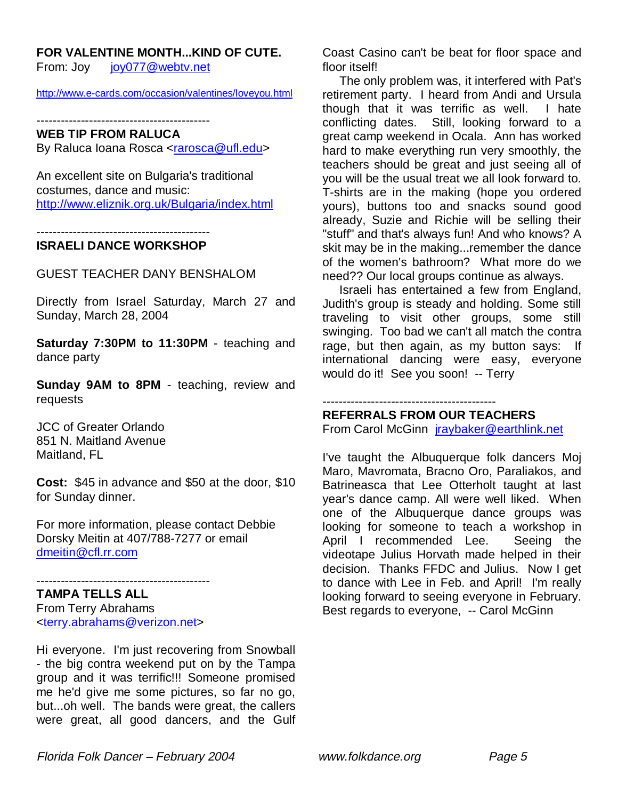#### **FOR VALENTINE MONTH...KIND OF CUTE.**

From: Joy joy077@webtv.net

http://www.e-cards.com/occasion/valentines/loveyou.html

-------------------------------------------

## **WEB TIP FROM RALUCA**

By Raluca Ioana Rosca <rarosca@ufl.edu>

An excellent site on Bulgaria's traditional costumes, dance and music: http://www.eliznik.org.uk/Bulgaria/index.html

-------------------------------------------

#### **ISRAELI DANCE WORKSHOP**

GUEST TEACHER DANY BENSHALOM

Directly from Israel Saturday, March 27 and Sunday, March 28, 2004

**Saturday 7:30PM to 11:30PM** - teaching and dance party

**Sunday 9AM to 8PM** - teaching, review and requests

JCC of Greater Orlando 851 N. Maitland Avenue Maitland, FL

**Cost:** \$45 in advance and \$50 at the door, \$10 for Sunday dinner.

For more information, please contact Debbie Dorsky Meitin at 407/788-7277 or email dmeitin@cfl.rr.com

-------------------------------------------

**TAMPA TELLS ALL** From Terry Abrahams <terry.abrahams@verizon.net>

Hi everyone. I'm just recovering from Snowball - the big contra weekend put on by the Tampa group and it was terrific!!! Someone promised me he'd give me some pictures, so far no go, but...oh well. The bands were great, the callers were great, all good dancers, and the Gulf

Coast Casino can't be beat for floor space and floor itself!

 The only problem was, it interfered with Pat's retirement party. I heard from Andi and Ursula though that it was terrific as well. I hate conflicting dates. Still, looking forward to a great camp weekend in Ocala. Ann has worked hard to make everything run very smoothly, the teachers should be great and just seeing all of you will be the usual treat we all look forward to. T-shirts are in the making (hope you ordered yours), buttons too and snacks sound good already, Suzie and Richie will be selling their "stuff" and that's always fun! And who knows? A skit may be in the making...remember the dance of the women's bathroom? What more do we need?? Our local groups continue as always.

 Israeli has entertained a few from England, Judith's group is steady and holding. Some still traveling to visit other groups, some still swinging. Too bad we can't all match the contra rage, but then again, as my button says: If international dancing were easy, everyone would do it! See you soon! -- Terry

#### -------------------------------------------

## **REFERRALS FROM OUR TEACHERS**

From Carol McGinn jraybaker@earthlink.net

I've taught the Albuquerque folk dancers Moj Maro, Mavromata, Bracno Oro, Paraliakos, and Batrineasca that Lee Otterholt taught at last year's dance camp. All were well liked. When one of the Albuquerque dance groups was looking for someone to teach a workshop in April I recommended Lee. Seeing the videotape Julius Horvath made helped in their decision. Thanks FFDC and Julius. Now I get to dance with Lee in Feb. and April! I'm really looking forward to seeing everyone in February. Best regards to everyone, -- Carol McGinn